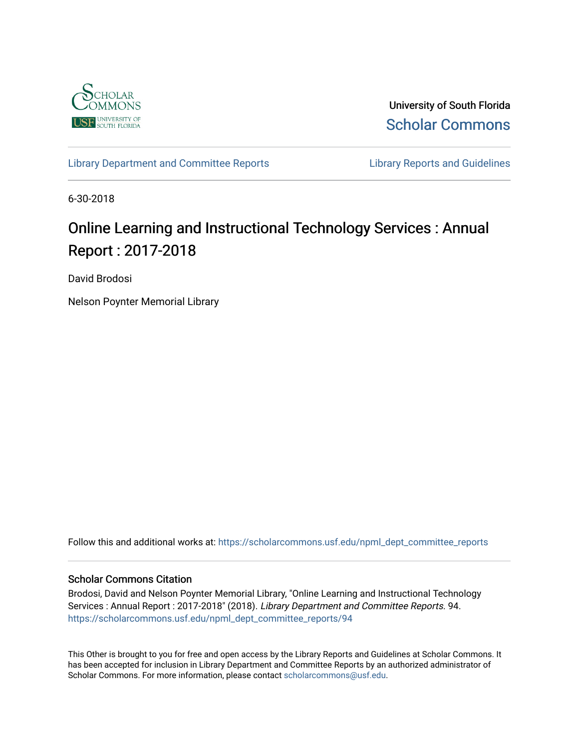

University of South Florida [Scholar Commons](https://scholarcommons.usf.edu/) 

[Library Department and Committee Reports](https://scholarcommons.usf.edu/npml_dept_committee_reports) **Library Reports and Guidelines** 

6-30-2018

# Online Learning and Instructional Technology Services : Annual Report : 2017-2018

David Brodosi

Nelson Poynter Memorial Library

Follow this and additional works at: [https://scholarcommons.usf.edu/npml\\_dept\\_committee\\_reports](https://scholarcommons.usf.edu/npml_dept_committee_reports?utm_source=scholarcommons.usf.edu%2Fnpml_dept_committee_reports%2F94&utm_medium=PDF&utm_campaign=PDFCoverPages)

#### Scholar Commons Citation

Brodosi, David and Nelson Poynter Memorial Library, "Online Learning and Instructional Technology Services : Annual Report : 2017-2018" (2018). Library Department and Committee Reports. 94. [https://scholarcommons.usf.edu/npml\\_dept\\_committee\\_reports/94](https://scholarcommons.usf.edu/npml_dept_committee_reports/94?utm_source=scholarcommons.usf.edu%2Fnpml_dept_committee_reports%2F94&utm_medium=PDF&utm_campaign=PDFCoverPages) 

This Other is brought to you for free and open access by the Library Reports and Guidelines at Scholar Commons. It has been accepted for inclusion in Library Department and Committee Reports by an authorized administrator of Scholar Commons. For more information, please contact [scholarcommons@usf.edu](mailto:scholarcommons@usf.edu).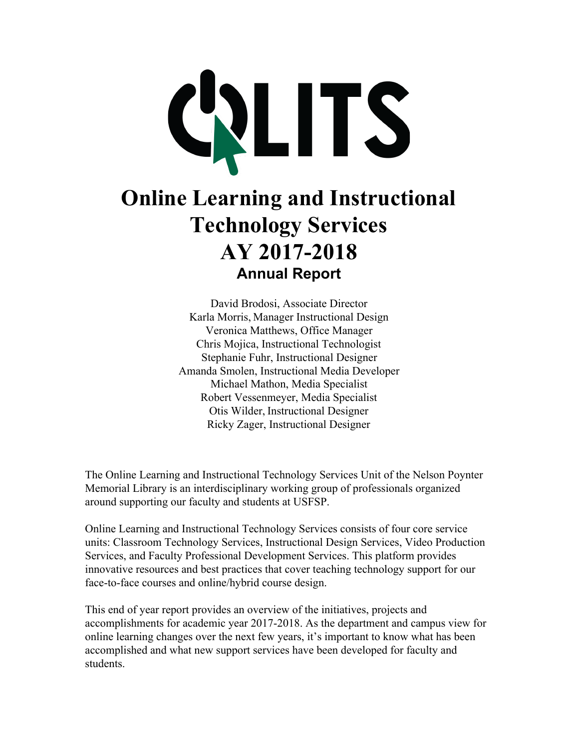

# **Online Learning and Instructional Technology Services AY 2017-2018 Annual Report**

David Brodosi, Associate Director Karla Morris, Manager Instructional Design Veronica Matthews, Office Manager Chris Mojica, Instructional Technologist Stephanie Fuhr, Instructional Designer Amanda Smolen, Instructional Media Developer Michael Mathon, Media Specialist Robert Vessenmeyer, Media Specialist Otis Wilder, Instructional Designer Ricky Zager, Instructional Designer

The Online Learning and Instructional Technology Services Unit of the Nelson Poynter Memorial Library is an interdisciplinary working group of professionals organized around supporting our faculty and students at USFSP.

Online Learning and Instructional Technology Services consists of four core service units: Classroom Technology Services, Instructional Design Services, Video Production Services, and Faculty Professional Development Services. This platform provides innovative resources and best practices that cover teaching technology support for our face-to-face courses and online/hybrid course design.

This end of year report provides an overview of the initiatives, projects and accomplishments for academic year 2017-2018. As the department and campus view for online learning changes over the next few years, it's important to know what has been accomplished and what new support services have been developed for faculty and students.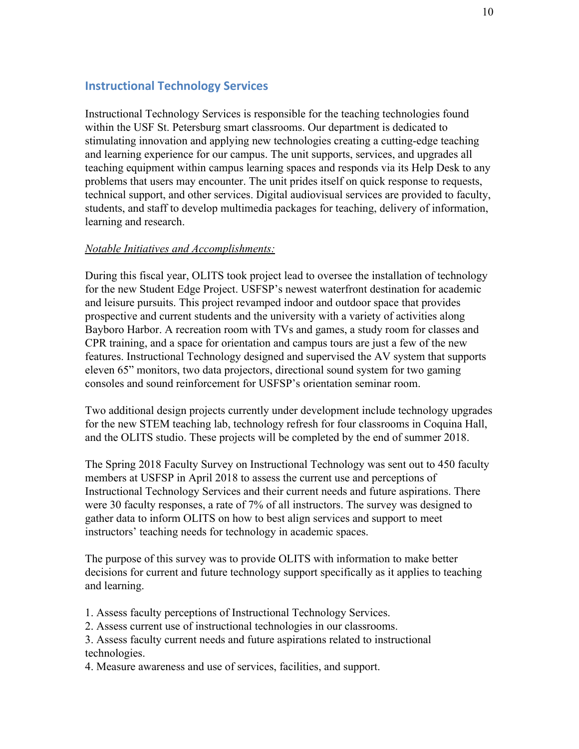# **Instructional Technology Services**

Instructional Technology Services is responsible for the teaching technologies found within the USF St. Petersburg smart classrooms. Our department is dedicated to stimulating innovation and applying new technologies creating a cutting-edge teaching and learning experience for our campus. The unit supports, services, and upgrades all teaching equipment within campus learning spaces and responds via its Help Desk to any problems that users may encounter. The unit prides itself on quick response to requests, technical support, and other services. Digital audiovisual services are provided to faculty, students, and staff to develop multimedia packages for teaching, delivery of information, learning and research.

#### *Notable Initiatives and Accomplishments:*

During this fiscal year, OLITS took project lead to oversee the installation of technology for the new Student Edge Project. USFSP's newest waterfront destination for academic and leisure pursuits. This project revamped indoor and outdoor space that provides prospective and current students and the university with a variety of activities along Bayboro Harbor. A recreation room with TVs and games, a study room for classes and CPR training, and a space for orientation and campus tours are just a few of the new features. Instructional Technology designed and supervised the AV system that supports eleven 65" monitors, two data projectors, directional sound system for two gaming consoles and sound reinforcement for USFSP's orientation seminar room.

Two additional design projects currently under development include technology upgrades for the new STEM teaching lab, technology refresh for four classrooms in Coquina Hall, and the OLITS studio. These projects will be completed by the end of summer 2018.

The Spring 2018 Faculty Survey on Instructional Technology was sent out to 450 faculty members at USFSP in April 2018 to assess the current use and perceptions of Instructional Technology Services and their current needs and future aspirations. There were 30 faculty responses, a rate of 7% of all instructors. The survey was designed to gather data to inform OLITS on how to best align services and support to meet instructors' teaching needs for technology in academic spaces.

The purpose of this survey was to provide OLITS with information to make better decisions for current and future technology support specifically as it applies to teaching and learning.

- 1. Assess faculty perceptions of Instructional Technology Services.
- 2. Assess current use of instructional technologies in our classrooms.

3. Assess faculty current needs and future aspirations related to instructional technologies.

4. Measure awareness and use of services, facilities, and support.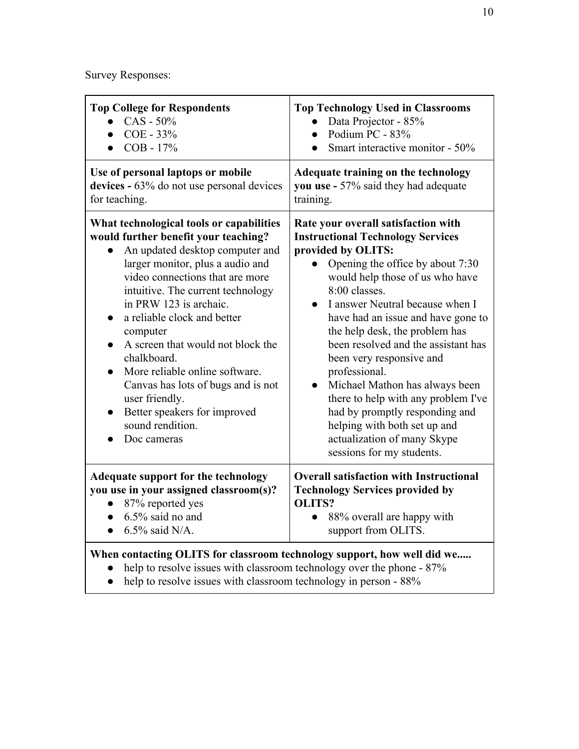Survey Responses:

| <b>Top College for Respondents</b><br>$CAS - 50\%$<br>COE - 33%<br>COB - 17%<br>$\bullet$                                                                                                                                                                                                                                                                                                                                                                                                                                                                                 | <b>Top Technology Used in Classrooms</b><br>Data Projector - 85%<br>Podium PC - 83%<br>$\bullet$<br>Smart interactive monitor - 50%<br>$\bullet$                                                                                                                                                                                                                                                                                                                                                                                                                                                                              |  |
|---------------------------------------------------------------------------------------------------------------------------------------------------------------------------------------------------------------------------------------------------------------------------------------------------------------------------------------------------------------------------------------------------------------------------------------------------------------------------------------------------------------------------------------------------------------------------|-------------------------------------------------------------------------------------------------------------------------------------------------------------------------------------------------------------------------------------------------------------------------------------------------------------------------------------------------------------------------------------------------------------------------------------------------------------------------------------------------------------------------------------------------------------------------------------------------------------------------------|--|
| Use of personal laptops or mobile<br>devices - 63% do not use personal devices<br>for teaching.                                                                                                                                                                                                                                                                                                                                                                                                                                                                           | Adequate training on the technology<br>you use - 57% said they had adequate<br>training.                                                                                                                                                                                                                                                                                                                                                                                                                                                                                                                                      |  |
| What technological tools or capabilities<br>would further benefit your teaching?<br>An updated desktop computer and<br>larger monitor, plus a audio and<br>video connections that are more<br>intuitive. The current technology<br>in PRW 123 is archaic.<br>a reliable clock and better<br>$\bullet$<br>computer<br>A screen that would not block the<br>$\bullet$<br>chalkboard.<br>More reliable online software.<br>$\bullet$<br>Canvas has lots of bugs and is not<br>user friendly.<br>Better speakers for improved<br>$\bullet$<br>sound rendition.<br>Doc cameras | Rate your overall satisfaction with<br><b>Instructional Technology Services</b><br>provided by OLITS:<br>Opening the office by about 7:30<br>would help those of us who have<br>8:00 classes.<br>I answer Neutral because when I<br>$\bullet$<br>have had an issue and have gone to<br>the help desk, the problem has<br>been resolved and the assistant has<br>been very responsive and<br>professional.<br>Michael Mathon has always been<br>$\bullet$<br>there to help with any problem I've<br>had by promptly responding and<br>helping with both set up and<br>actualization of many Skype<br>sessions for my students. |  |
| <b>Adequate support for the technology</b><br>you use in your assigned classroom(s)?<br>$\bullet$ 87% reported yes<br>$6.5\%$ said no and<br>$\bullet$<br>$6.5\%$ said N/A.<br>$\bullet$                                                                                                                                                                                                                                                                                                                                                                                  | <b>Overall satisfaction with Instructional</b><br><b>Technology Services provided by</b><br><b>OLITS?</b><br>88% overall are happy with<br>support from OLITS.                                                                                                                                                                                                                                                                                                                                                                                                                                                                |  |
| When contacting OLITS for classroom technology support, how well did we<br>help to resolve issues with classroom technology over the phone - 87%                                                                                                                                                                                                                                                                                                                                                                                                                          |                                                                                                                                                                                                                                                                                                                                                                                                                                                                                                                                                                                                                               |  |

• help to resolve issues with classroom technology in person - 88%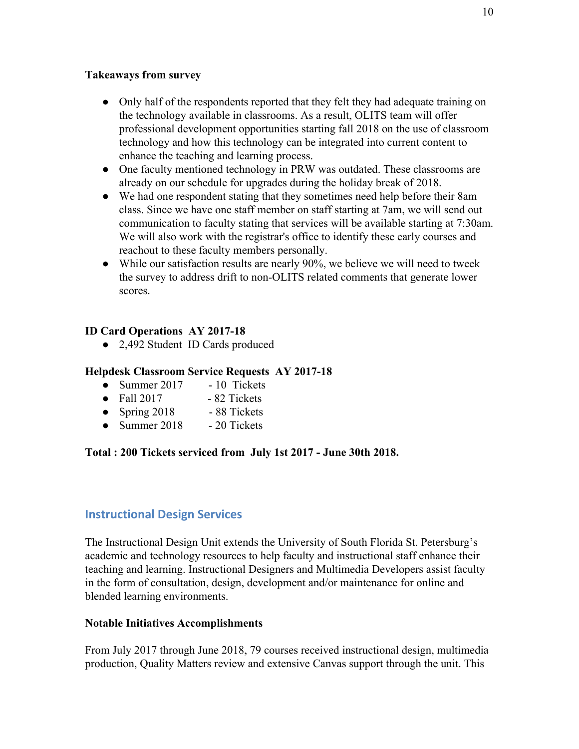#### **Takeaways from survey**

- Only half of the respondents reported that they felt they had adequate training on the technology available in classrooms. As a result, OLITS team will offer professional development opportunities starting fall 2018 on the use of classroom technology and how this technology can be integrated into current content to enhance the teaching and learning process.
- One faculty mentioned technology in PRW was outdated. These classrooms are already on our schedule for upgrades during the holiday break of 2018.
- We had one respondent stating that they sometimes need help before their 8am class. Since we have one staff member on staff starting at 7am, we will send out communication to faculty stating that services will be available starting at 7:30am. We will also work with the registrar's office to identify these early courses and reachout to these faculty members personally.
- While our satisfaction results are nearly 90%, we believe we will need to tweek the survey to address drift to non-OLITS related comments that generate lower scores.

# **ID Card Operations AY 2017-18**

● 2,492 Student ID Cards produced

# **Helpdesk Classroom Service Requests AY 2017-18**

- Summer  $2017 10$  Tickets
- $\bullet$  Fall 2017 82 Tickets
- Spring 2018 88 Tickets
- Summer 2018 20 Tickets

#### **Total : 200 Tickets serviced from July 1st 2017 - June 30th 2018.**

# **Instructional Design Services**

The Instructional Design Unit extends the University of South Florida St. Petersburg's academic and technology resources to help faculty and instructional staff enhance their teaching and learning. Instructional Designers and Multimedia Developers assist faculty in the form of consultation, design, development and/or maintenance for online and blended learning environments.

#### **Notable Initiatives Accomplishments**

From July 2017 through June 2018, 79 courses received instructional design, multimedia production, Quality Matters review and extensive Canvas support through the unit. This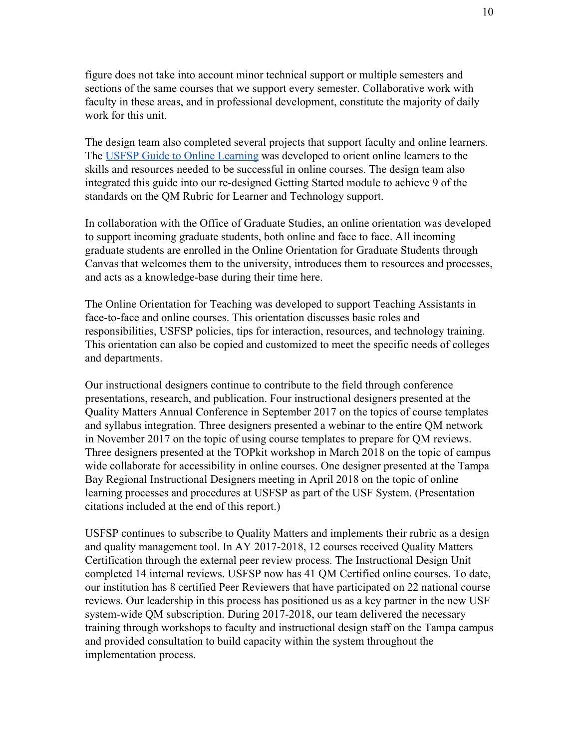figure does not take into account minor technical support or multiple semesters and sections of the same courses that we support every semester. Collaborative work with faculty in these areas, and in professional development, constitute the majority of daily work for this unit.

The design team also completed several projects that support faculty and online learners. The [USFSP Guide to Online Learning](http://lib.usfsp.edu/olits/onlinelearningguide) was developed to orient online learners to the skills and resources needed to be successful in online courses. The design team also integrated this guide into our re-designed Getting Started module to achieve 9 of the standards on the QM Rubric for Learner and Technology support.

In collaboration with the Office of Graduate Studies, an online orientation was developed to support incoming graduate students, both online and face to face. All incoming graduate students are enrolled in the Online Orientation for Graduate Students through Canvas that welcomes them to the university, introduces them to resources and processes, and acts as a knowledge-base during their time here.

The Online Orientation for Teaching was developed to support Teaching Assistants in face-to-face and online courses. This orientation discusses basic roles and responsibilities, USFSP policies, tips for interaction, resources, and technology training. This orientation can also be copied and customized to meet the specific needs of colleges and departments.

Our instructional designers continue to contribute to the field through conference presentations, research, and publication. Four instructional designers presented at the Quality Matters Annual Conference in September 2017 on the topics of course templates and syllabus integration. Three designers presented a webinar to the entire QM network in November 2017 on the topic of using course templates to prepare for QM reviews. Three designers presented at the TOPkit workshop in March 2018 on the topic of campus wide collaborate for accessibility in online courses. One designer presented at the Tampa Bay Regional Instructional Designers meeting in April 2018 on the topic of online learning processes and procedures at USFSP as part of the USF System. (Presentation citations included at the end of this report.)

USFSP continues to subscribe to Quality Matters and implements their rubric as a design and quality management tool. In AY 2017-2018, 12 courses received Quality Matters Certification through the external peer review process. The Instructional Design Unit completed 14 internal reviews. USFSP now has 41 QM Certified online courses. To date, our institution has 8 certified Peer Reviewers that have participated on 22 national course reviews. Our leadership in this process has positioned us as a key partner in the new USF system-wide QM subscription. During 2017-2018, our team delivered the necessary training through workshops to faculty and instructional design staff on the Tampa campus and provided consultation to build capacity within the system throughout the implementation process.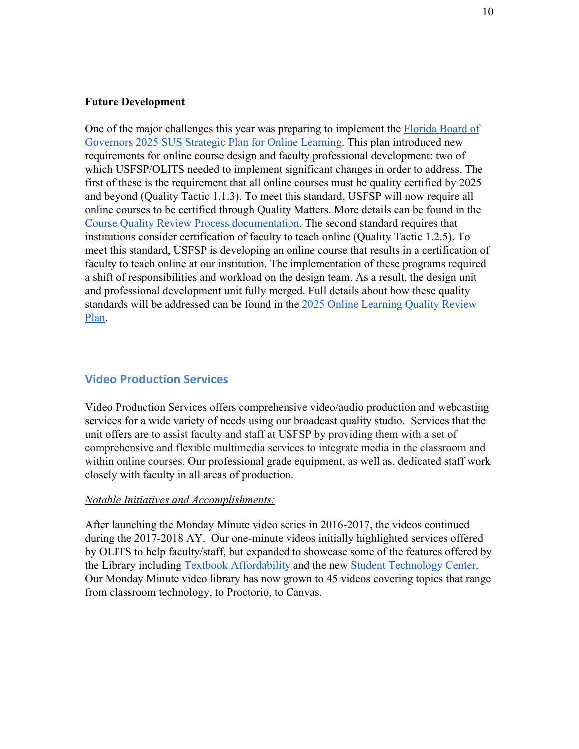#### **Future Development**

One of the major challenges this year was preparing to implement the [Florida Board of](https://www.flbog.edu/board/office/online/strategic_planning_online_ed.php) [Governors 2025 SUS Strategic Plan for Online Learning.](https://www.flbog.edu/board/office/online/strategic_planning_online_ed.php) This plan introduced new requirements for online course design and faculty professional development: two of which USFSP/OLITS needed to implement significant changes in order to address. The first of these is the requirement that all online courses must be quality certified by 2025 and beyond (Quality Tactic 1.1.3). To meet this standard, USFSP will now require all online courses to be certified through Quality Matters. More details can be found in the [Course Quality Review Process documentation](https://docs.google.com/document/d/13MnfCfaOwTy_jZ7FkDe5bLiH1Kiab1O0gN8o6QgstaA/edit?usp=sharing). The second standard requires that institutions consider certification of faculty to teach online (Quality Tactic 1.2.5). To meet this standard, USFSP is developing an online course that results in a certification of faculty to teach online at our institution. The implementation of these programs required a shift of responsibilities and workload on the design team. As a result, the design unit and professional development unit fully merged. Full details about how these quality standards will be addressed can be found in the [2025 Online Learning Quality Review](https://docs.google.com/document/d/1zK4bV_NPN2MQliV27k8fSd10CppnU5NxeqNulX62cnw/edit?usp=sharing) [Plan](https://docs.google.com/document/d/1zK4bV_NPN2MQliV27k8fSd10CppnU5NxeqNulX62cnw/edit?usp=sharing).

#### **Video Production Services**

Video Production Services offers comprehensive video/audio production and webcasting services for a wide variety of needs using our broadcast quality studio. Services that the unit offers are to assist faculty and staff at USFSP by providing them with a set of comprehensive and flexible multimedia services to integrate media in the classroom and within online courses. Our professional grade equipment, as well as, dedicated staff work closely with faculty in all areas of production.

#### *Notable Initiatives and Accomplishments:*

After launching th[e Monday Minute](https://www.youtube.com/channel/UCpH_AXQu3pkvzvh1TP4LITw/videos?shelf_id=0&sort=dd&view=0) video series in 2016-2017, the videos continued during the 2017-2018 AY. Our one-minute videos initially highlighted services offered by OLITS to help faculty/staff, but expanded to showcase some of the features offered by the Library including [Textbook Affordability](https://www.youtube.com/watch?v=qOGQihNuEYE&t=1s) and the ne[w](https://www.youtube.com/watch?v=cgc6vgf28h8) [Student Technology Center](https://www.youtube.com/watch?v=cgc6vgf28h8). Our Monday Minute video library has now grown to 45 videos covering topics that range from classroom technology, to Proctorio, to Canvas.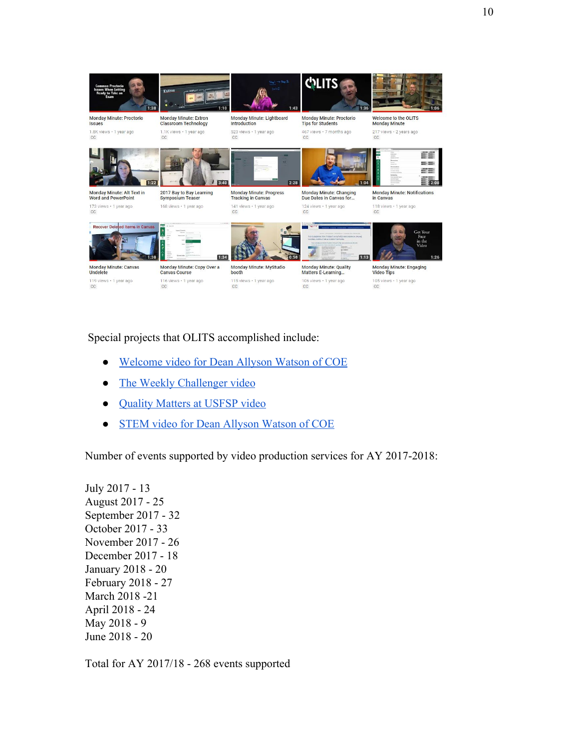

Special projects that OLITS accomplished include:

- [Welcome video for Dean Allyson Watson of COE](https://www.youtube.com/watch?v=9HaYGIDtF_s)
- [The Weekly Challenger video](https://www.youtube.com/watch?v=K-hiSYwcttk&t=1s)
- [Quality Matters at USFSP video](https://www.youtube.com/watch?v=AdkMBmOaxws&t=2s)
- [STEM video for Dean Allyson Watson of COE](https://www.youtube.com/watch?v=s-SxSUZFUAE)

Number of events supported by video production services for AY 2017-2018:

July 2017 - 13 August 2017 - 25 September 2017 - 32 October 2017 - 33 November 2017 - 26 December 2017 - 18 January 2018 - 20 February 2018 - 27 March 2018 -21 April 2018 - 24 May 2018 - 9 June 2018 - 20

Total for AY 2017/18 - 268 events supported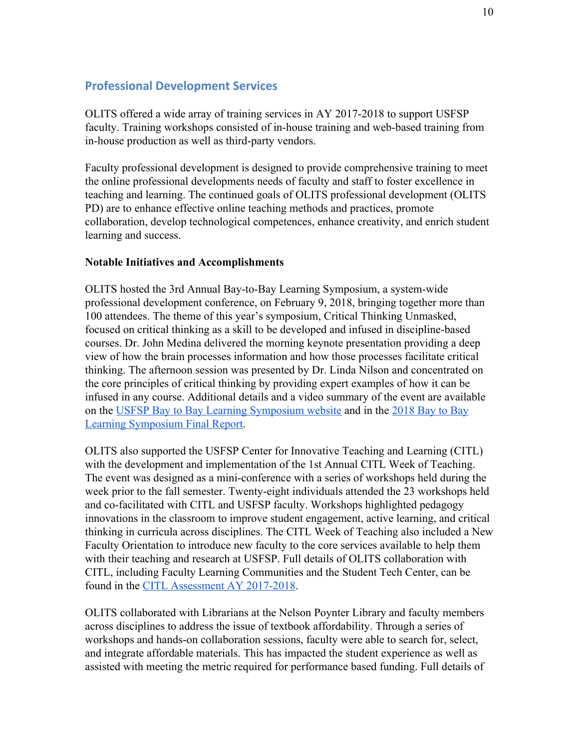# **Professional Development Services**

OLITS offered a wide array of training services in AY 2017-2018 to support USFSP faculty. Training workshops consisted of in-house training and web-based training from in-house production as well as third-party vendors.

Faculty professional development is designed to provide comprehensive training to meet the online professional developments needs of faculty and staff to foster excellence in teaching and learning. The continued goals of OLITS professional development (OLITS PD) are to enhance effective online teaching methods and practices, promote collaboration, develop technological competences, enhance creativity, and enrich student learning and success.

#### **Notable Initiatives and Accomplishments**

OLITS hosted the 3rd Annual Bay-to-Bay Learning Symposium, a system-wide professional development conference, on February 9, 2018, bringing together more than 100 attendees. The theme of this year's symposium, Critical Thinking Unmasked, focused on critical thinking as a skill to be developed and infused in discipline-based courses. Dr. John Medina delivered the morning keynote presentation providing a deep view of how the brain processes information and how those processes facilitate critical thinking. The afternoon session was presented by Dr. Linda Nilson and concentrated on the core principles of critical thinking by providing expert examples of how it can be infused in any course. Additional details and a video summary of the event are available on the [USFSP Bay to Bay Learning Symposium website](http://www.usfsp.edu/bay-to-bay/) and in the [2018 Bay to Bay](https://drive.google.com/file/d/0B67cKABeckAQVER6ZFVycmY2YnRESDJMQnA0RHlZLUZZeWs0/view) [Learning Symposium Final Report.](https://drive.google.com/file/d/0B67cKABeckAQVER6ZFVycmY2YnRESDJMQnA0RHlZLUZZeWs0/view)

OLITS also supported the USFSP Center for Innovative Teaching and Learning (CITL) with the development and implementation of the 1st Annual CITL Week of Teaching. The event was designed as a mini-conference with a series of workshops held during the week prior to the fall semester. Twenty-eight individuals attended the 23 workshops held and co-facilitated with CITL and USFSP faculty. Workshops highlighted pedagogy innovations in the classroom to improve student engagement, active learning, and critical thinking in curricula across disciplines. The CITL Week of Teaching also included a New Faculty Orientation to introduce new faculty to the core services available to help them with their teaching and research at USFSP. Full details of OLITS collaboration with CITL, including Faculty Learning Communities and the Student Tech Center, can be found in the [CITL Assessment AY 2017-2018.](https://docs.google.com/document/d/1Xgi-6Dfu7GLQgG7Ju4RKOWMmu5Z5MO5CmBVFlajTfLE/edit?usp=sharing)

OLITS collaborated with Librarians at the Nelson Poynter Library and faculty members across disciplines to address the issue of textbook affordability. Through a series of workshops and hands-on collaboration sessions, faculty were able to search for, select, and integrate affordable materials. This has impacted the student experience as well as assisted with meeting the metric required for performance based funding. Full details of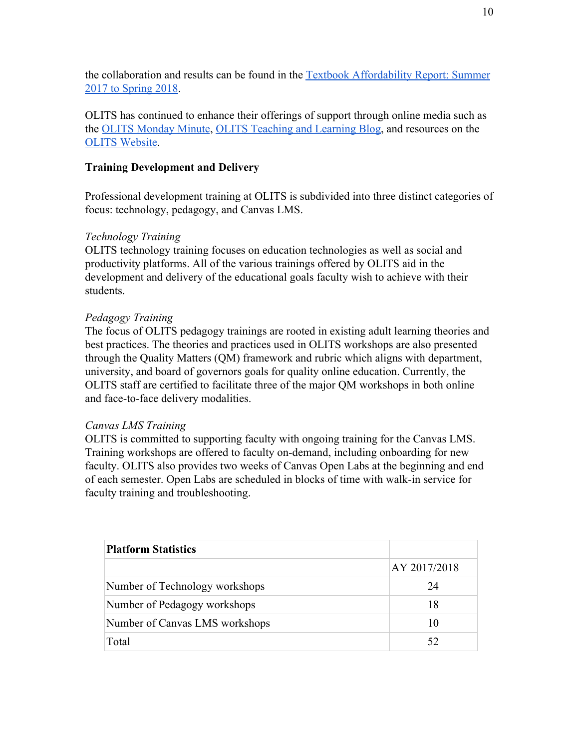the collaboration and results can be found in the [Textbook Affordability Report: Summer](https://digital.usfsp.edu/npml_collection_assessments/18/) [2017 to Spring 2018](https://digital.usfsp.edu/npml_collection_assessments/18/).

OLITS has continued to enhance their offerings of support through online media such as the [OLITS Monday Minute](https://www.youtube.com/playlist?list=PLBEVZexYATAdFp-IScmxN97AcnMj_Yla6), [OLITS Teaching and Learning Blog,](https://usfspdistancelearning.wordpress.com/) and resources on the [OLITS Website](http://lib.usfsp.edu/OLITS/home/resources).

# **Training Development and Delivery**

Professional development training at OLITS is subdivided into three distinct categories of focus: technology, pedagogy, and Canvas LMS.

# *Technology Training*

OLITS technology training focuses on education technologies as well as social and productivity platforms. All of the various trainings offered by OLITS aid in the development and delivery of the educational goals faculty wish to achieve with their students.

# *Pedagogy Training*

The focus of OLITS pedagogy trainings are rooted in existing adult learning theories and best practices. The theories and practices used in OLITS workshops are also presented through the Quality Matters (QM) framework and rubric which aligns with department, university, and board of governors goals for quality online education. Currently, the OLITS staff are certified to facilitate three of the major QM workshops in both online and face-to-face delivery modalities.

#### *Canvas LMS Training*

OLITS is committed to supporting faculty with ongoing training for the Canvas LMS. Training workshops are offered to faculty on-demand, including onboarding for new faculty. OLITS also provides two weeks of Canvas Open Labs at the beginning and end of each semester. Open Labs are scheduled in blocks of time with walk-in service for faculty training and troubleshooting.

| <b>Platform Statistics</b>     |              |
|--------------------------------|--------------|
|                                | AY 2017/2018 |
| Number of Technology workshops | 24           |
| Number of Pedagogy workshops   | 18           |
| Number of Canvas LMS workshops | 10           |
| Total                          | 52           |